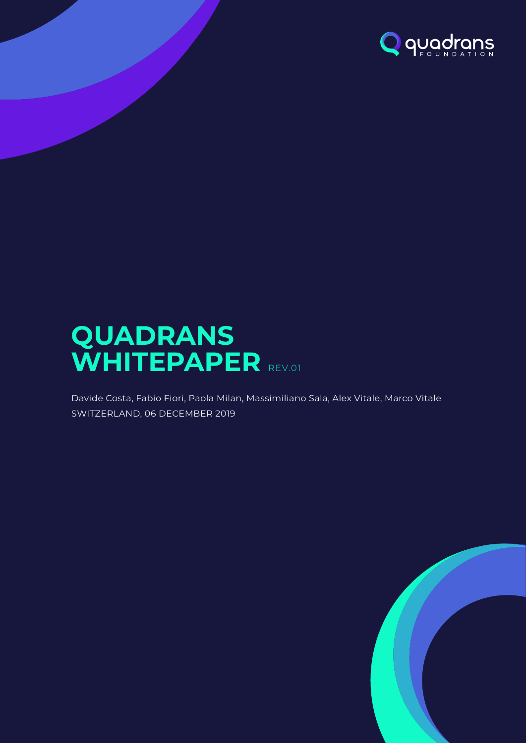

# **QUADRANS** WHITEPAPER REV.01

Davide Costa, Fabio Fiori, Paola Milan, Massimiliano Sala, Alex Vitale, Marco Vitale SWITZERLAND, 06 DECEMBER 2019

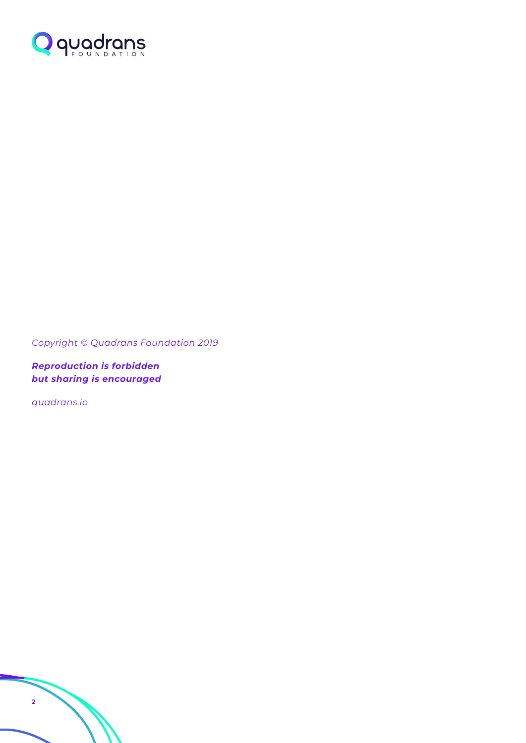

*Copyright © Quadrans Foundation 2019*

*Reproduction is forbidden but sharing is encouraged*

*quadrans.io*

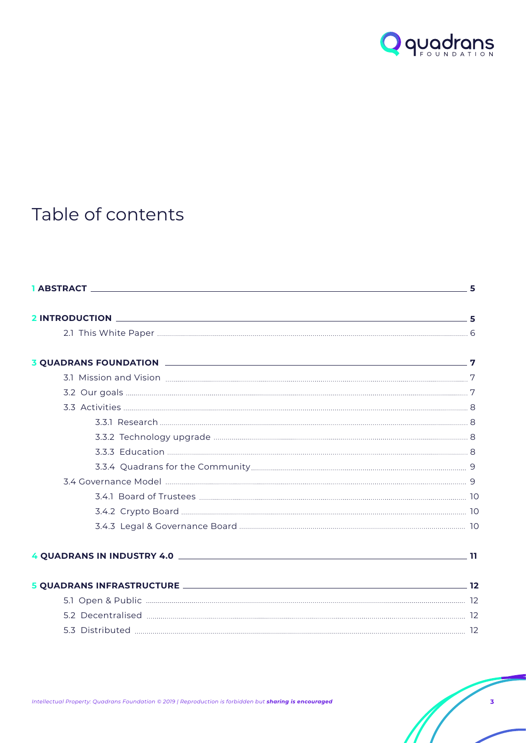

## Table of contents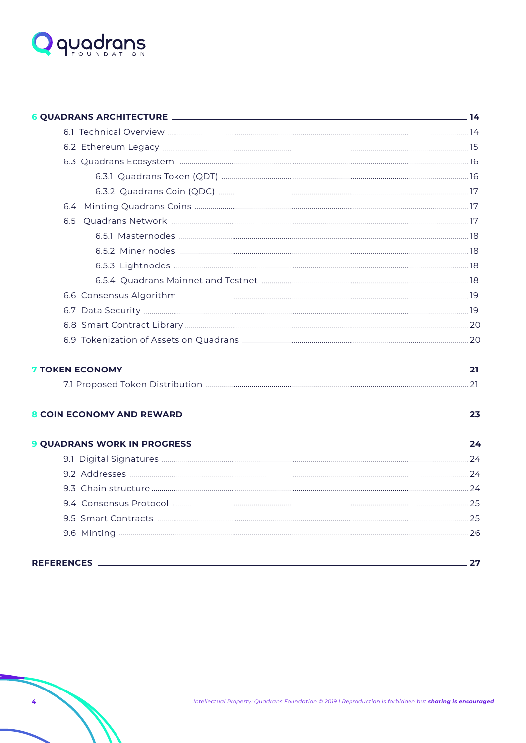

|                   | 23 |
|-------------------|----|
|                   |    |
|                   |    |
|                   |    |
|                   |    |
|                   |    |
|                   |    |
|                   |    |
| <b>REFERENCES</b> | 27 |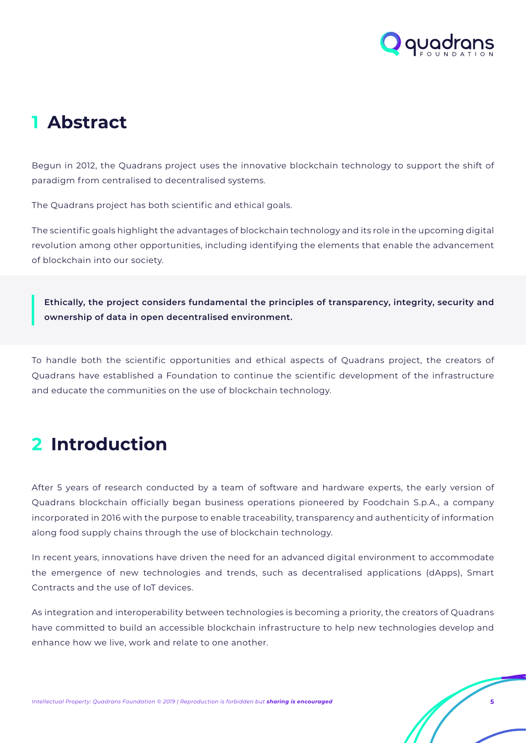

## <span id="page-4-0"></span>**1 Abstract**

Begun in 2012, the Quadrans project uses the innovative blockchain technology to support the shift of paradigm from centralised to decentralised systems.

The Quadrans project has both scientific and ethical goals.

The scientific goals highlight the advantages of blockchain technology and its role in the upcoming digital revolution among other opportunities, including identifying the elements that enable the advancement of blockchain into our society.

**Ethically, the project considers fundamental the principles of transparency, integrity, security and ownership of data in open decentralised environment.** 

To handle both the scientific opportunities and ethical aspects of Quadrans project, the creators of Quadrans have established a Foundation to continue the scientific development of the infrastructure and educate the communities on the use of blockchain technology.

## **2 Introduction**

After 5 years of research conducted by a team of software and hardware experts, the early version of Quadrans blockchain officially began business operations pioneered by Foodchain S.p.A., a company incorporated in 2016 with the purpose to enable traceability, transparency and authenticity of information along food supply chains through the use of blockchain technology.

In recent years, innovations have driven the need for an advanced digital environment to accommodate the emergence of new technologies and trends, such as decentralised applications (dApps), Smart Contracts and the use of IoT devices.

As integration and interoperability between technologies is becoming a priority, the creators of Quadrans have committed to build an accessible blockchain infrastructure to help new technologies develop and enhance how we live, work and relate to one another.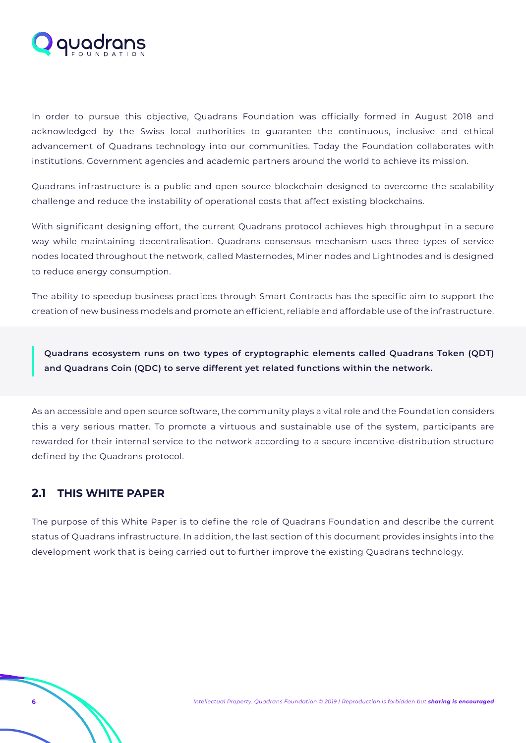<span id="page-5-0"></span>

In order to pursue this objective, Quadrans Foundation was officially formed in August 2018 and acknowledged by the Swiss local authorities to guarantee the continuous, inclusive and ethical advancement of Quadrans technology into our communities. Today the Foundation collaborates with institutions, Government agencies and academic partners around the world to achieve its mission.

Quadrans infrastructure is a public and open source blockchain designed to overcome the scalability challenge and reduce the instability of operational costs that affect existing blockchains.

With significant designing effort, the current Quadrans protocol achieves high throughput in a secure way while maintaining decentralisation. Quadrans consensus mechanism uses three types of service nodes located throughout the network, called Masternodes, Miner nodes and Lightnodes and is designed to reduce energy consumption.

The ability to speedup business practices through Smart Contracts has the specific aim to support the creation of new business models and promote an efficient, reliable and affordable use of the infrastructure.

**Quadrans ecosystem runs on two types of cryptographic elements called Quadrans Token (QDT) and Quadrans Coin (QDC) to serve different yet related functions within the network.**

As an accessible and open source software, the community plays a vital role and the Foundation considers this a very serious matter. To promote a virtuous and sustainable use of the system, participants are rewarded for their internal service to the network according to a secure incentive-distribution structure defined by the Quadrans protocol.

### **2.1 THIS WHITE PAPER**

The purpose of this White Paper is to define the role of Quadrans Foundation and describe the current status of Quadrans infrastructure. In addition, the last section of this document provides insights into the development work that is being carried out to further improve the existing Quadrans technology.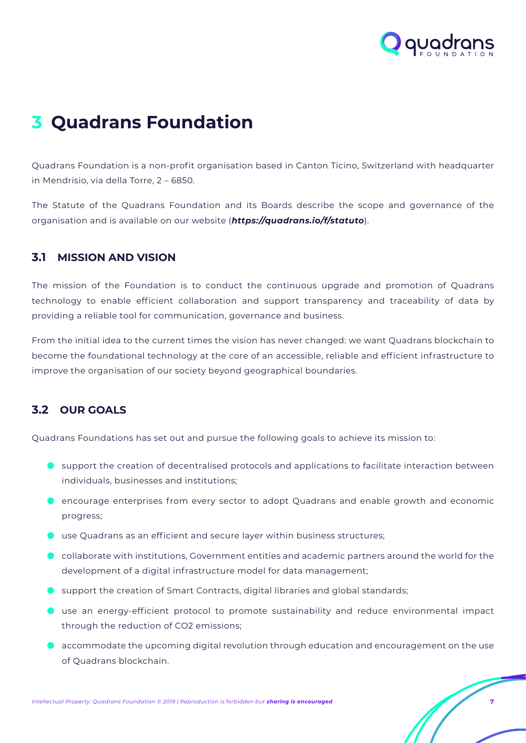

## <span id="page-6-0"></span>**3 Quadrans Foundation**

Quadrans Foundation is a non-profit organisation based in Canton Ticino, Switzerland with headquarter in Mendrisio, via della Torre, 2 – 6850.

The Statute of the Quadrans Foundation and its Boards describe the scope and governance of the organisation and is available on our website (*https://quadrans.io/f/statuto*).

### **3.1 MISSION AND VISION**

The mission of the Foundation is to conduct the continuous upgrade and promotion of Quadrans technology to enable efficient collaboration and support transparency and traceability of data by providing a reliable tool for communication, governance and business.

From the initial idea to the current times the vision has never changed: we want Quadrans blockchain to become the foundational technology at the core of an accessible, reliable and efficient infrastructure to improve the organisation of our society beyond geographical boundaries.

### **3.2 OUR GOALS**

Quadrans Foundations has set out and pursue the following goals to achieve its mission to:

- **•** support the creation of decentralised protocols and applications to facilitate interaction between individuals, businesses and institutions;
- encourage enterprises from every sector to adopt Ouadrans and enable growth and economic progress;
- $\blacksquare$  use Quadrans as an efficient and secure layer within business structures;
- $\bullet$  collaborate with institutions, Government entities and academic partners around the world for the development of a digital infrastructure model for data management;
- $\bullet$  support the creation of Smart Contracts, digital libraries and global standards;
- use an energy-efficient protocol to promote sustainability and reduce environmental impact through the reduction of CO2 emissions;
- accommodate the upcoming digital revolution through education and encouragement on the use of Quadrans blockchain.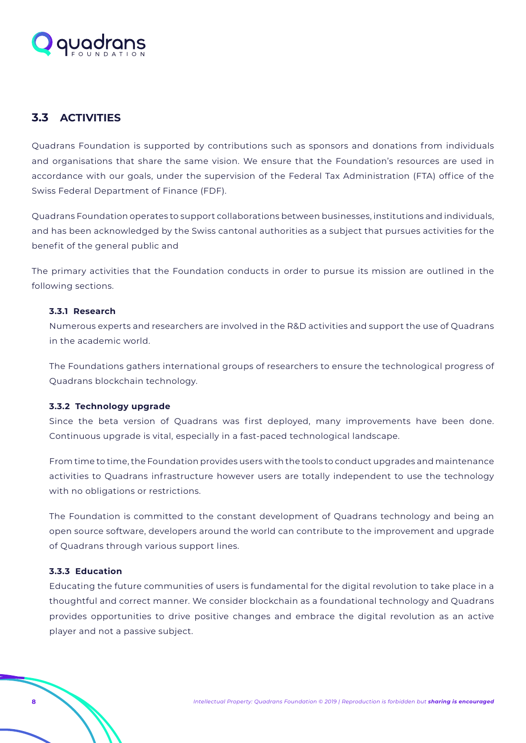<span id="page-7-0"></span>

## **3.3 ACTIVITIES**

Quadrans Foundation is supported by contributions such as sponsors and donations from individuals and organisations that share the same vision. We ensure that the Foundation's resources are used in accordance with our goals, under the supervision of the Federal Tax Administration (FTA) office of the Swiss Federal Department of Finance (FDF).

Quadrans Foundation operates to support collaborations between businesses, institutions and individuals, and has been acknowledged by the Swiss cantonal authorities as a subject that pursues activities for the benefit of the general public and

The primary activities that the Foundation conducts in order to pursue its mission are outlined in the following sections.

#### **3.3.1 Research**

Numerous experts and researchers are involved in the R&D activities and support the use of Quadrans in the academic world.

The Foundations gathers international groups of researchers to ensure the technological progress of Quadrans blockchain technology.

#### **3.3.2 Technology upgrade**

Since the beta version of Quadrans was first deployed, many improvements have been done. Continuous upgrade is vital, especially in a fast-paced technological landscape.

From time to time, the Foundation provides users with the tools to conduct upgrades and maintenance activities to Quadrans infrastructure however users are totally independent to use the technology with no obligations or restrictions.

The Foundation is committed to the constant development of Quadrans technology and being an open source software, developers around the world can contribute to the improvement and upgrade of Quadrans through various support lines.

#### **3.3.3 Education**

Educating the future communities of users is fundamental for the digital revolution to take place in a thoughtful and correct manner. We consider blockchain as a foundational technology and Quadrans provides opportunities to drive positive changes and embrace the digital revolution as an active player and not a passive subject.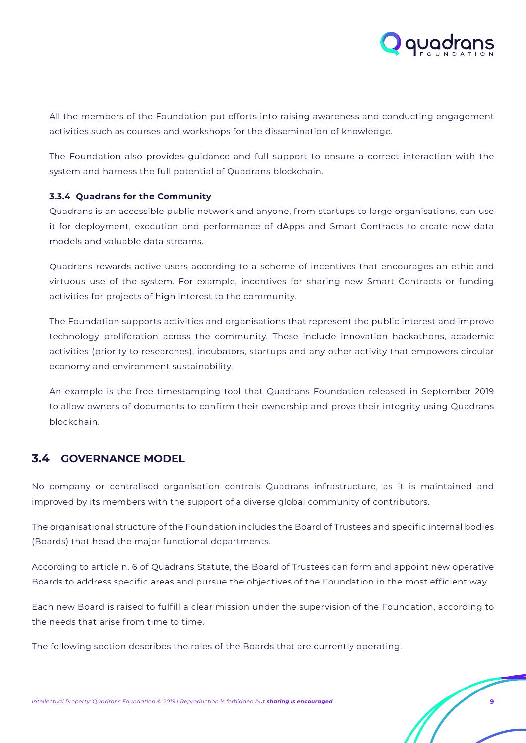

<span id="page-8-0"></span>All the members of the Foundation put efforts into raising awareness and conducting engagement activities such as courses and workshops for the dissemination of knowledge.

The Foundation also provides guidance and full support to ensure a correct interaction with the system and harness the full potential of Quadrans blockchain.

#### **3.3.4 Quadrans for the Community**

Quadrans is an accessible public network and anyone, from startups to large organisations, can use it for deployment, execution and performance of dApps and Smart Contracts to create new data models and valuable data streams.

Quadrans rewards active users according to a scheme of incentives that encourages an ethic and virtuous use of the system. For example, incentives for sharing new Smart Contracts or funding activities for projects of high interest to the community.

The Foundation supports activities and organisations that represent the public interest and improve technology proliferation across the community. These include innovation hackathons, academic activities (priority to researches), incubators, startups and any other activity that empowers circular economy and environment sustainability.

An example is the free timestamping tool that Quadrans Foundation released in September 2019 to allow owners of documents to confirm their ownership and prove their integrity using Quadrans blockchain.

## **3.4 GOVERNANCE MODEL**

No company or centralised organisation controls Quadrans infrastructure, as it is maintained and improved by its members with the support of a diverse global community of contributors.

The organisational structure of the Foundation includes the Board of Trustees and specific internal bodies (Boards) that head the major functional departments.

According to article n. 6 of Quadrans Statute, the Board of Trustees can form and appoint new operative Boards to address specific areas and pursue the objectives of the Foundation in the most efficient way.

Each new Board is raised to fulfill a clear mission under the supervision of the Foundation, according to the needs that arise from time to time.

The following section describes the roles of the Boards that are currently operating.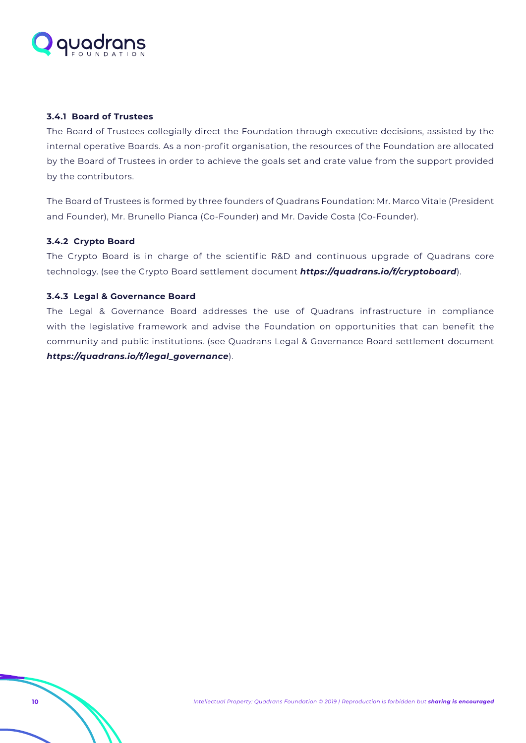<span id="page-9-0"></span>

#### **3.4.1 Board of Trustees**

The Board of Trustees collegially direct the Foundation through executive decisions, assisted by the internal operative Boards. As a non-profit organisation, the resources of the Foundation are allocated by the Board of Trustees in order to achieve the goals set and crate value from the support provided by the contributors.

The Board of Trustees is formed by three founders of Quadrans Foundation: Mr. Marco Vitale (President and Founder), Mr. Brunello Pianca (Co-Founder) and Mr. Davide Costa (Co-Founder).

#### **3.4.2 Crypto Board**

The Crypto Board is in charge of the scientific R&D and continuous upgrade of Quadrans core technology. (see the Crypto Board settlement document *<https://quadrans.io/f/cryptoboard>*).

#### **3.4.3 Legal & Governance Board**

The Legal & Governance Board addresses the use of Quadrans infrastructure in compliance with the legislative framework and advise the Foundation on opportunities that can benefit the community and public institutions. (see Quadrans Legal & Governance Board settlement document *[https://quadrans.io/f/legal\\_governance](https://quadrans.io/f/legal_governance)*).

**10** *Intellectual Property: Quadrans Foundation © 2019 | Reproduction is forbidden but sharing is encouraged*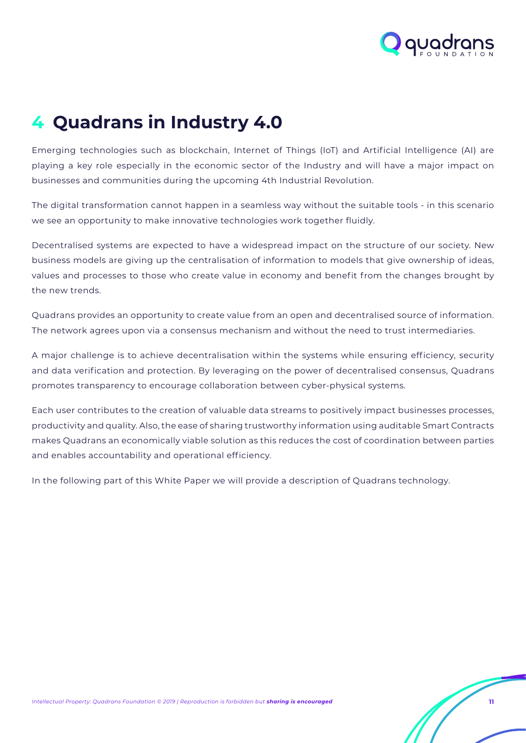

## <span id="page-10-0"></span>**4 Quadrans in Industry 4.0**

Emerging technologies such as blockchain, Internet of Things (IoT) and Artificial Intelligence (AI) are playing a key role especially in the economic sector of the Industry and will have a major impact on businesses and communities during the upcoming 4th Industrial Revolution.

The digital transformation cannot happen in a seamless way without the suitable tools - in this scenario we see an opportunity to make innovative technologies work together fluidly.

Decentralised systems are expected to have a widespread impact on the structure of our society. New business models are giving up the centralisation of information to models that give ownership of ideas, values and processes to those who create value in economy and benefit from the changes brought by the new trends.

Quadrans provides an opportunity to create value from an open and decentralised source of information. The network agrees upon via a consensus mechanism and without the need to trust intermediaries.

A major challenge is to achieve decentralisation within the systems while ensuring efficiency, security and data verification and protection. By leveraging on the power of decentralised consensus, Quadrans promotes transparency to encourage collaboration between cyber-physical systems.

Each user contributes to the creation of valuable data streams to positively impact businesses processes, productivity and quality. Also, the ease of sharing trustworthy information using auditable Smart Contracts makes Quadrans an economically viable solution as this reduces the cost of coordination between parties and enables accountability and operational efficiency.

In the following part of this White Paper we will provide a description of Quadrans technology.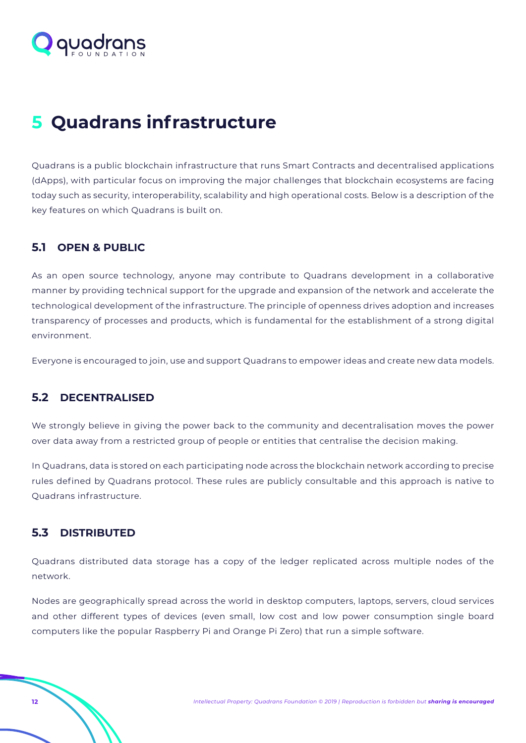<span id="page-11-0"></span>

## **5 Quadrans infrastructure**

Quadrans is a public blockchain infrastructure that runs Smart Contracts and decentralised applications (dApps), with particular focus on improving the major challenges that blockchain ecosystems are facing today such as security, interoperability, scalability and high operational costs. Below is a description of the key features on which Quadrans is built on.

## **5.1 OPEN & PUBLIC**

As an open source technology, anyone may contribute to Quadrans development in a collaborative manner by providing technical support for the upgrade and expansion of the network and accelerate the technological development of the infrastructure. The principle of openness drives adoption and increases transparency of processes and products, which is fundamental for the establishment of a strong digital environment.

Everyone is encouraged to join, use and support Quadrans to empower ideas and create new data models.

### **5.2 DECENTRALISED**

We strongly believe in giving the power back to the community and decentralisation moves the power over data away from a restricted group of people or entities that centralise the decision making.

In Quadrans, data is stored on each participating node across the blockchain network according to precise rules defined by Quadrans protocol. These rules are publicly consultable and this approach is native to Quadrans infrastructure.

### **5.3 DISTRIBUTED**

Quadrans distributed data storage has a copy of the ledger replicated across multiple nodes of the network.

Nodes are geographically spread across the world in desktop computers, laptops, servers, cloud services and other different types of devices (even small, low cost and low power consumption single board computers like the popular Raspberry Pi and Orange Pi Zero) that run a simple software.

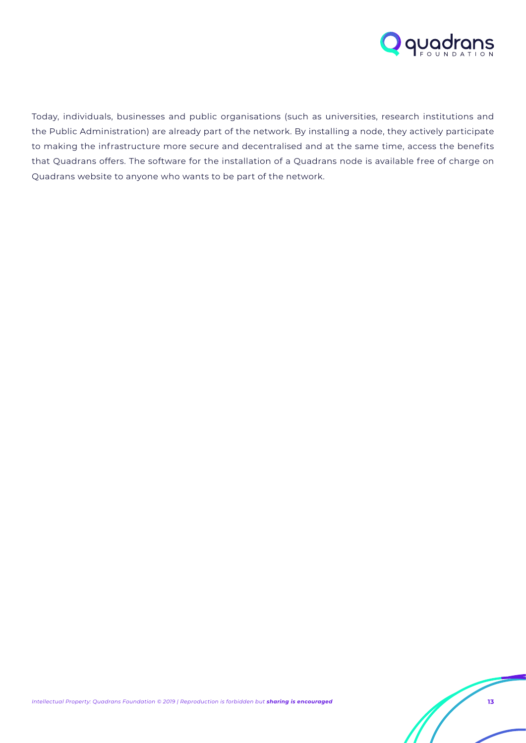

Today, individuals, businesses and public organisations (such as universities, research institutions and the Public Administration) are already part of the network. By installing a node, they actively participate to making the infrastructure more secure and decentralised and at the same time, access the benefits that Quadrans offers. The software for the installation of a Quadrans node is available free of charge on Quadrans website to anyone who wants to be part of the network.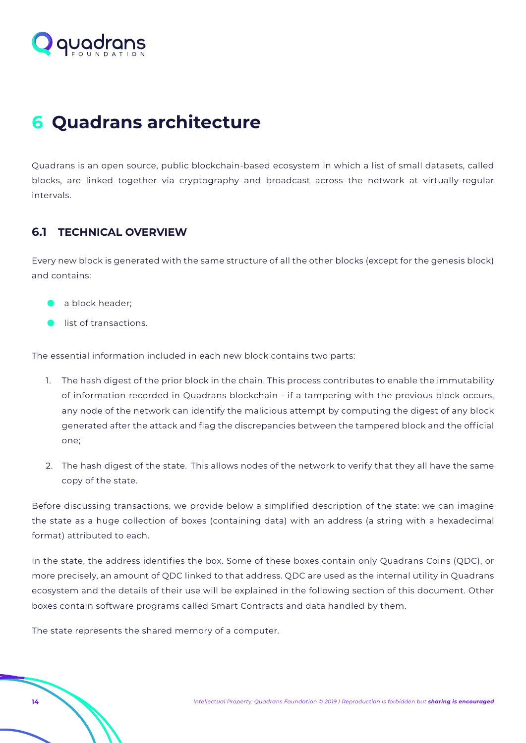<span id="page-13-0"></span>

## **6 Quadrans architecture**

Quadrans is an open source, public blockchain-based ecosystem in which a list of small datasets, called blocks, are linked together via cryptography and broadcast across the network at virtually-regular intervals.

## **6.1 TECHNICAL OVERVIEW**

Every new block is generated with the same structure of all the other blocks (except for the genesis block) and contains:

- **a** block header;
- $\bullet$  list of transactions.

The essential information included in each new block contains two parts:

- 1. The hash digest of the prior block in the chain. This process contributes to enable the immutability of information recorded in Quadrans blockchain - if a tampering with the previous block occurs, any node of the network can identify the malicious attempt by computing the digest of any block generated after the attack and flag the discrepancies between the tampered block and the official one;
- 2. The hash digest of the state. This allows nodes of the network to verify that they all have the same copy of the state.

Before discussing transactions, we provide below a simplified description of the state: we can imagine the state as a huge collection of boxes (containing data) with an address (a string with a hexadecimal format) attributed to each.

In the state, the address identifies the box. Some of these boxes contain only Quadrans Coins (QDC), or more precisely, an amount of QDC linked to that address. QDC are used as the internal utility in Quadrans ecosystem and the details of their use will be explained in the following section of this document. Other boxes contain software programs called Smart Contracts and data handled by them.

The state represents the shared memory of a computer.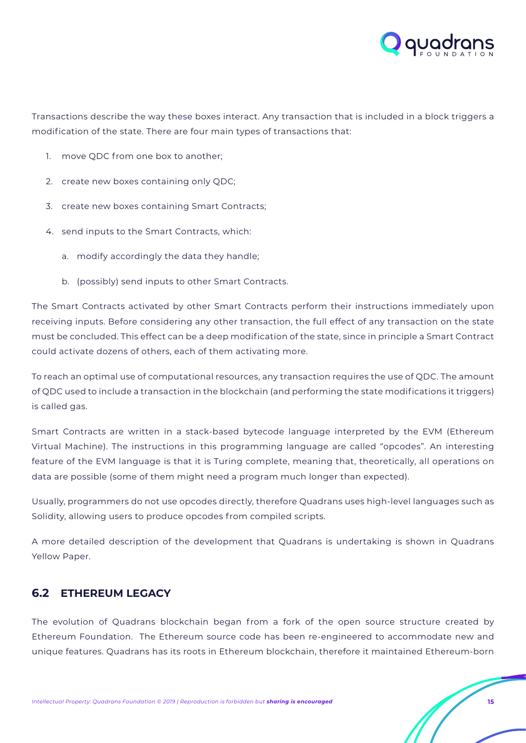

Transactions describe the way these boxes interact. Any transaction that is included in a block triggers a modification of the state. There are four main types of transactions that:

- 1. move QDC from one box to another;
- 2. create new boxes containing only QDC;
- 3. create new boxes containing Smart Contracts;
- 4. send inputs to the Smart Contracts, which:
	- a. modify accordingly the data they handle;
	- b. (possibly) send inputs to other Smart Contracts.

The Smart Contracts activated by other Smart Contracts perform their instructions immediately upon receiving inputs. Before considering any other transaction, the full effect of any transaction on the state must be concluded. This effect can be a deep modification of the state, since in principle a Smart Contract could activate dozens of others, each of them activating more.

To reach an optimal use of computational resources, any transaction requires the use of QDC. The amount of QDC used to include a transaction in the blockchain (and performing the state modifications it triggers) is called gas.

Smart Contracts are written in a stack-based bytecode language interpreted by the EVM (Ethereum Virtual Machine). The instructions in this programming language are called "opcodes". An interesting feature of the EVM language is that it is Turing complete, meaning that, theoretically, all operations on data are possible (some of them might need a program much longer than expected).

Usually, programmers do not use opcodes directly, therefore Quadrans uses high-level languages such as Solidity, allowing users to produce opcodes from compiled scripts.

A more detailed description of the development that Quadrans is undertaking is shown in Quadrans Yellow Paper.

## **6.2 ETHEREUM LEGACY**

The evolution of Quadrans blockchain began from a fork of the open source structure created by Ethereum Foundation. The Ethereum source code has been re-engineered to accommodate new and unique features. Quadrans has its roots in Ethereum blockchain, therefore it maintained Ethereum-born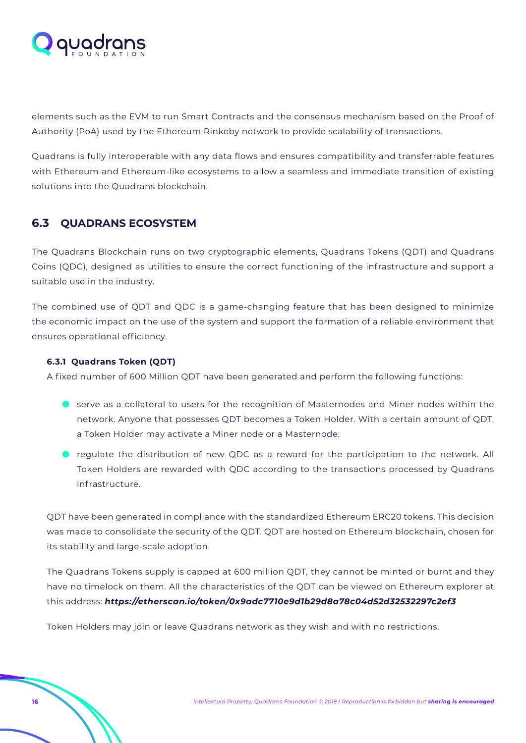<span id="page-15-0"></span>

elements such as the EVM to run Smart Contracts and the consensus mechanism based on the Proof of Authority (PoA) used by the Ethereum Rinkeby network to provide scalability of transactions.

Quadrans is fully interoperable with any data flows and ensures compatibility and transferrable features with Ethereum and Ethereum-like ecosystems to allow a seamless and immediate transition of existing solutions into the Quadrans blockchain.

## **6.3 QUADRANS ECOSYSTEM**

The Quadrans Blockchain runs on two cryptographic elements, Quadrans Tokens (QDT) and Quadrans Coins (QDC), designed as utilities to ensure the correct functioning of the infrastructure and support a suitable use in the industry.

The combined use of QDT and QDC is a game-changing feature that has been designed to minimize the economic impact on the use of the system and support the formation of a reliable environment that ensures operational efficiency.

#### **6.3.1 Quadrans Token (QDT)**

A fixed number of 600 Million QDT have been generated and perform the following functions:

- **O** serve as a collateral to users for the recognition of Masternodes and Miner nodes within the network. Anyone that possesses QDT becomes a Token Holder. With a certain amount of QDT, a Token Holder may activate a Miner node or a Masternode;
- I regulate the distribution of new QDC as a reward for the participation to the network. All Token Holders are rewarded with QDC according to the transactions processed by Quadrans infrastructure.

QDT have been generated in compliance with the standardized Ethereum ERC20 tokens. This decision was made to consolidate the security of the QDT. QDT are hosted on Ethereum blockchain, chosen for its stability and large-scale adoption.

The Quadrans Tokens supply is capped at 600 million QDT, they cannot be minted or burnt and they have no timelock on them. All the characteristics of the QDT can be viewed on Ethereum explorer at this address: *<https://etherscan.io/token/0x9adc7710e9d1b29d8a78c04d52d32532297c2ef3>*

Token Holders may join or leave Quadrans network as they wish and with no restrictions.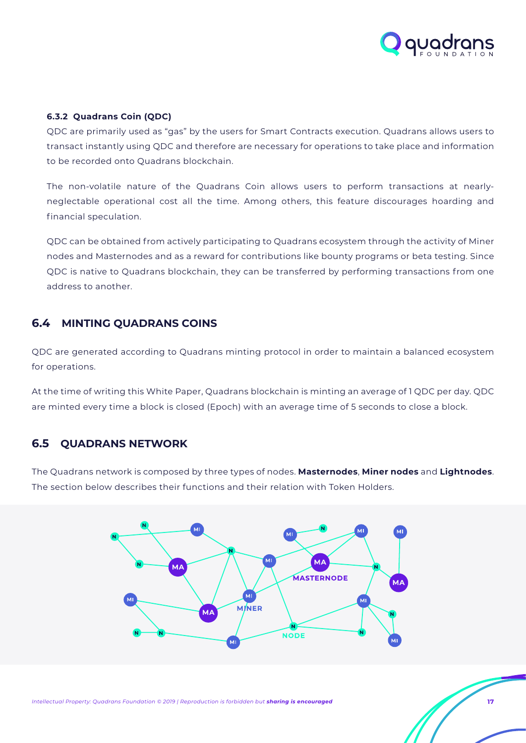

#### <span id="page-16-0"></span>**6.3.2 Quadrans Coin (QDC)**

QDC are primarily used as "gas" by the users for Smart Contracts execution. Quadrans allows users to transact instantly using QDC and therefore are necessary for operations to take place and information to be recorded onto Quadrans blockchain.

The non-volatile nature of the Quadrans Coin allows users to perform transactions at nearlyneglectable operational cost all the time. Among others, this feature discourages hoarding and financial speculation.

QDC can be obtained from actively participating to Quadrans ecosystem through the activity of Miner nodes and Masternodes and as a reward for contributions like bounty programs or beta testing. Since QDC is native to Quadrans blockchain, they can be transferred by performing transactions from one address to another.

## **6.4 MINTING QUADRANS COINS**

QDC are generated according to Quadrans minting protocol in order to maintain a balanced ecosystem for operations.

At the time of writing this White Paper, Quadrans blockchain is minting an average of 1 QDC per day. QDC are minted every time a block is closed (Epoch) with an average time of 5 seconds to close a block.

### **6.5 QUADRANS NETWORK**

The Quadrans network is composed by three types of nodes. **Masternodes**, **Miner nodes** and **Lightnodes**. The section below describes their functions and their relation with Token Holders.

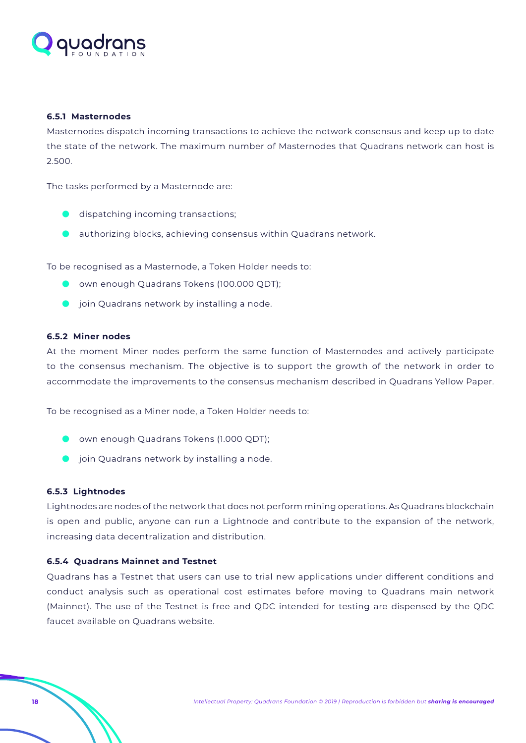<span id="page-17-0"></span>

#### **6.5.1 Masternodes**

Masternodes dispatch incoming transactions to achieve the network consensus and keep up to date the state of the network. The maximum number of Masternodes that Quadrans network can host is 2.500.

The tasks performed by a Masternode are:

- $\bullet$  dispatching incoming transactions;
- authorizing blocks, achieving consensus within Quadrans network.

To be recognised as a Masternode, a Token Holder needs to:

- **O** own enough Quadrans Tokens (100.000 QDT);
- **•** join Quadrans network by installing a node.

#### **6.5.2 Miner nodes**

At the moment Miner nodes perform the same function of Masternodes and actively participate to the consensus mechanism. The objective is to support the growth of the network in order to accommodate the improvements to the consensus mechanism described in Quadrans Yellow Paper.

To be recognised as a Miner node, a Token Holder needs to:

- **O** own enough Quadrans Tokens (1.000 QDT);
- **•** join Quadrans network by installing a node.

#### **6.5.3 Lightnodes**

Lightnodes are nodes of the network that does not perform mining operations. As Quadrans blockchain is open and public, anyone can run a Lightnode and contribute to the expansion of the network, increasing data decentralization and distribution.

#### **6.5.4 Quadrans Mainnet and Testnet**

Quadrans has a Testnet that users can use to trial new applications under different conditions and conduct analysis such as operational cost estimates before moving to Quadrans main network (Mainnet). The use of the Testnet is free and QDC intended for testing are dispensed by the QDC faucet available on Quadrans website.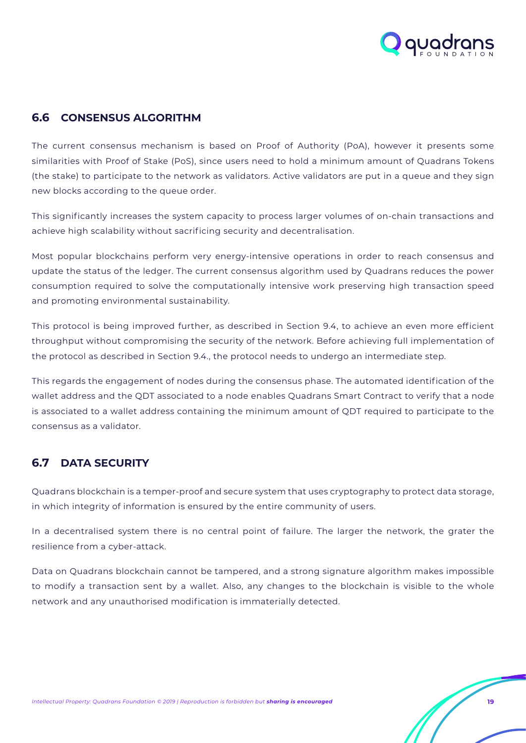

## <span id="page-18-0"></span>**6.6 CONSENSUS ALGORITHM**

The current consensus mechanism is based on Proof of Authority (PoA), however it presents some similarities with Proof of Stake (PoS), since users need to hold a minimum amount of Quadrans Tokens (the stake) to participate to the network as validators. Active validators are put in a queue and they sign new blocks according to the queue order.

This significantly increases the system capacity to process larger volumes of on-chain transactions and achieve high scalability without sacrificing security and decentralisation.

Most popular blockchains perform very energy-intensive operations in order to reach consensus and update the status of the ledger. The current consensus algorithm used by Quadrans reduces the power consumption required to solve the computationally intensive work preserving high transaction speed and promoting environmental sustainability.

This protocol is being improved further, as described in Section 9.4, to achieve an even more efficient throughput without compromising the security of the network. Before achieving full implementation of the protocol as described in Section 9.4., the protocol needs to undergo an intermediate step.

This regards the engagement of nodes during the consensus phase. The automated identification of the wallet address and the QDT associated to a node enables Quadrans Smart Contract to verify that a node is associated to a wallet address containing the minimum amount of QDT required to participate to the consensus as a validator.

## **6.7 DATA SECURITY**

Quadrans blockchain is a temper-proof and secure system that uses cryptography to protect data storage, in which integrity of information is ensured by the entire community of users.

In a decentralised system there is no central point of failure. The larger the network, the grater the resilience from a cyber-attack.

Data on Quadrans blockchain cannot be tampered, and a strong signature algorithm makes impossible to modify a transaction sent by a wallet. Also, any changes to the blockchain is visible to the whole network and any unauthorised modification is immaterially detected.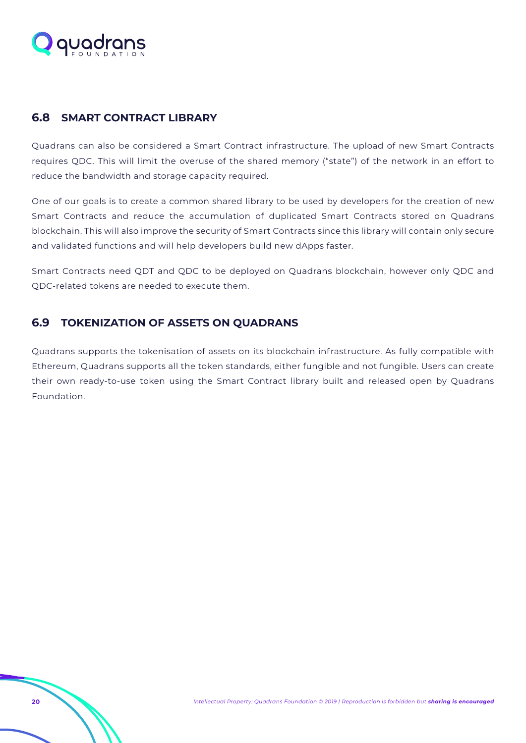<span id="page-19-0"></span>

## **6.8 SMART CONTRACT LIBRARY**

Quadrans can also be considered a Smart Contract infrastructure. The upload of new Smart Contracts requires QDC. This will limit the overuse of the shared memory ("state") of the network in an effort to reduce the bandwidth and storage capacity required.

One of our goals is to create a common shared library to be used by developers for the creation of new Smart Contracts and reduce the accumulation of duplicated Smart Contracts stored on Quadrans blockchain. This will also improve the security of Smart Contracts since this library will contain only secure and validated functions and will help developers build new dApps faster.

Smart Contracts need QDT and QDC to be deployed on Quadrans blockchain, however only QDC and QDC-related tokens are needed to execute them.

## **6.9 TOKENIZATION OF ASSETS ON QUADRANS**

Quadrans supports the tokenisation of assets on its blockchain infrastructure. As fully compatible with Ethereum, Quadrans supports all the token standards, either fungible and not fungible. Users can create their own ready-to-use token using the Smart Contract library built and released open by Quadrans Foundation.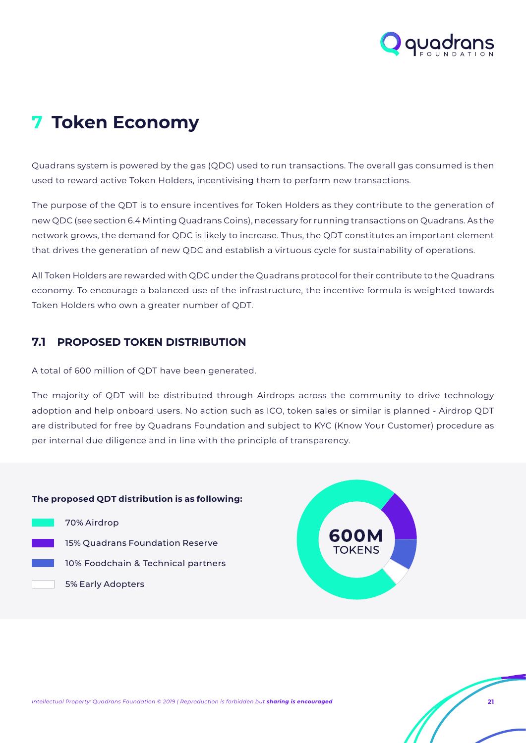

## <span id="page-20-0"></span>**7 Token Economy**

Quadrans system is powered by the gas (QDC) used to run transactions. The overall gas consumed is then used to reward active Token Holders, incentivising them to perform new transactions.

The purpose of the QDT is to ensure incentives for Token Holders as they contribute to the generation of new QDC (see section 6.4 Minting Quadrans Coins), necessary for running transactions on Quadrans. As the network grows, the demand for QDC is likely to increase. Thus, the QDT constitutes an important element that drives the generation of new QDC and establish a virtuous cycle for sustainability of operations.

All Token Holders are rewarded with QDC under the Quadrans protocol for their contribute to the Quadrans economy. To encourage a balanced use of the infrastructure, the incentive formula is weighted towards Token Holders who own a greater number of QDT.

## **7.1 PROPOSED TOKEN DISTRIBUTION**

A total of 600 million of QDT have been generated.

The majority of QDT will be distributed through Airdrops across the community to drive technology adoption and help onboard users. No action such as ICO, token sales or similar is planned - Airdrop QDT are distributed for free by Quadrans Foundation and subject to KYC (Know Your Customer) procedure as per internal due diligence and in line with the principle of transparency.

#### **The proposed QDT distribution is as following:**

- 70% Airdrop 15% Quadrans Foundation Reserve
	- 10% Foodchain & Technical partners
		- 5% Early Adopters

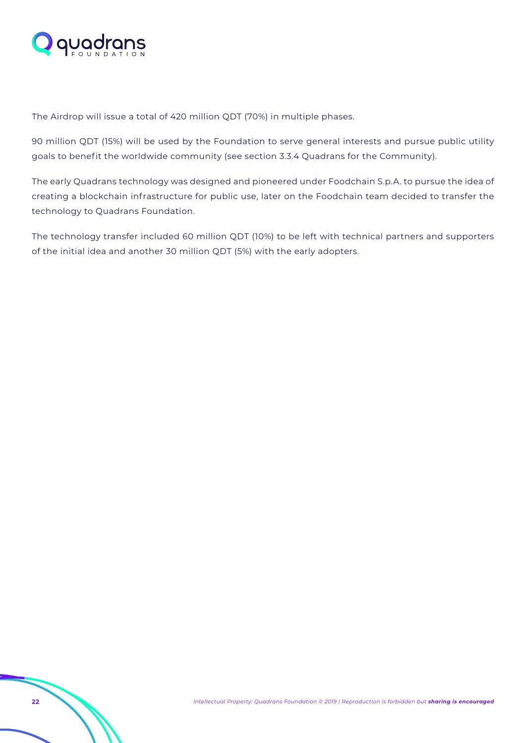

The Airdrop will issue a total of 420 million QDT (70%) in multiple phases.

90 million QDT (15%) will be used by the Foundation to serve general interests and pursue public utility goals to benefit the worldwide community (see section 3.3.4 Quadrans for the Community).

The early Quadrans technology was designed and pioneered under Foodchain S.p.A. to pursue the idea of creating a blockchain infrastructure for public use, later on the Foodchain team decided to transfer the technology to Quadrans Foundation.

The technology transfer included 60 million QDT (10%) to be left with technical partners and supporters of the initial idea and another 30 million QDT (5%) with the early adopters.

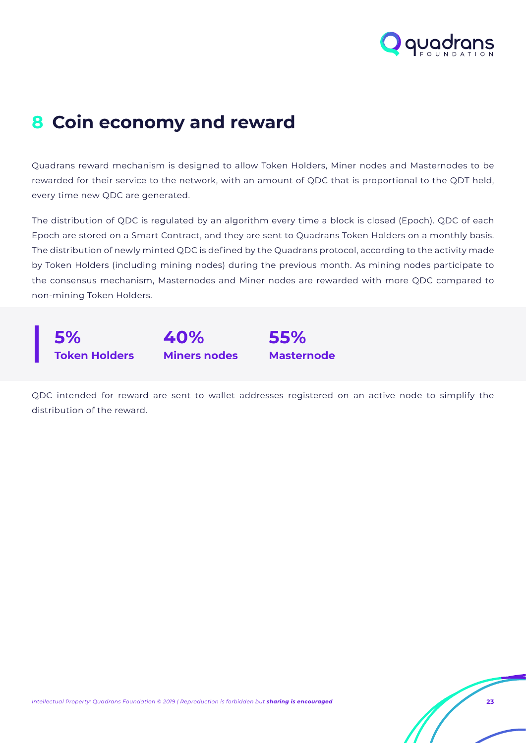

## <span id="page-22-0"></span>**8 Coin economy and reward**

Quadrans reward mechanism is designed to allow Token Holders, Miner nodes and Masternodes to be rewarded for their service to the network, with an amount of QDC that is proportional to the QDT held, every time new QDC are generated.

The distribution of QDC is regulated by an algorithm every time a block is closed (Epoch). QDC of each Epoch are stored on a Smart Contract, and they are sent to Quadrans Token Holders on a monthly basis. The distribution of newly minted QDC is defined by the Quadrans protocol, according to the activity made by Token Holders (including mining nodes) during the previous month. As mining nodes participate to the consensus mechanism, Masternodes and Miner nodes are rewarded with more QDC compared to non-mining Token Holders.



QDC intended for reward are sent to wallet addresses registered on an active node to simplify the distribution of the reward.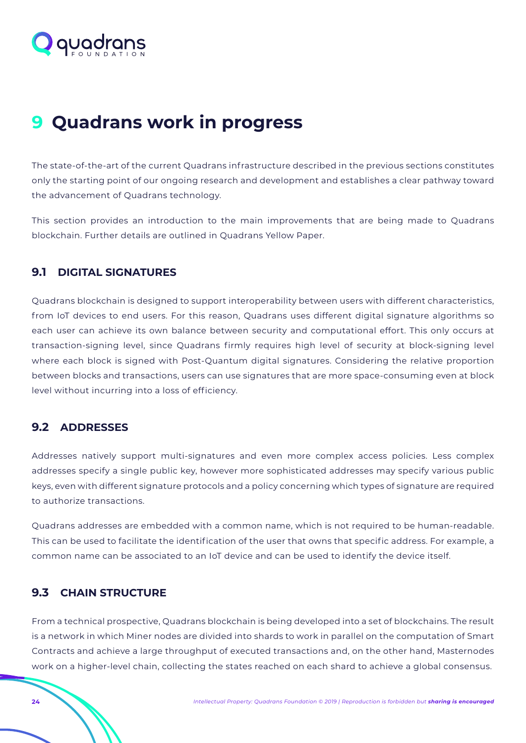<span id="page-23-0"></span>

## **9 Quadrans work in progress**

The state-of-the-art of the current Quadrans infrastructure described in the previous sections constitutes only the starting point of our ongoing research and development and establishes a clear pathway toward the advancement of Quadrans technology.

This section provides an introduction to the main improvements that are being made to Quadrans blockchain. Further details are outlined in Quadrans Yellow Paper.

## **9.1 DIGITAL SIGNATURES**

Quadrans blockchain is designed to support interoperability between users with different characteristics, from IoT devices to end users. For this reason, Quadrans uses different digital signature algorithms so each user can achieve its own balance between security and computational effort. This only occurs at transaction-signing level, since Quadrans firmly requires high level of security at block-signing level where each block is signed with Post-Quantum digital signatures. Considering the relative proportion between blocks and transactions, users can use signatures that are more space-consuming even at block level without incurring into a loss of efficiency.

### **9.2 ADDRESSES**

Addresses natively support multi-signatures and even more complex access policies. Less complex addresses specify a single public key, however more sophisticated addresses may specify various public keys, even with different signature protocols and a policy concerning which types of signature are required to authorize transactions.

Quadrans addresses are embedded with a common name, which is not required to be human-readable. This can be used to facilitate the identification of the user that owns that specific address. For example, a common name can be associated to an IoT device and can be used to identify the device itself.

### **9.3 CHAIN STRUCTURE**

From a technical prospective, Quadrans blockchain is being developed into a set of blockchains. The result is a network in which Miner nodes are divided into shards to work in parallel on the computation of Smart Contracts and achieve a large throughput of executed transactions and, on the other hand, Masternodes work on a higher-level chain, collecting the states reached on each shard to achieve a global consensus.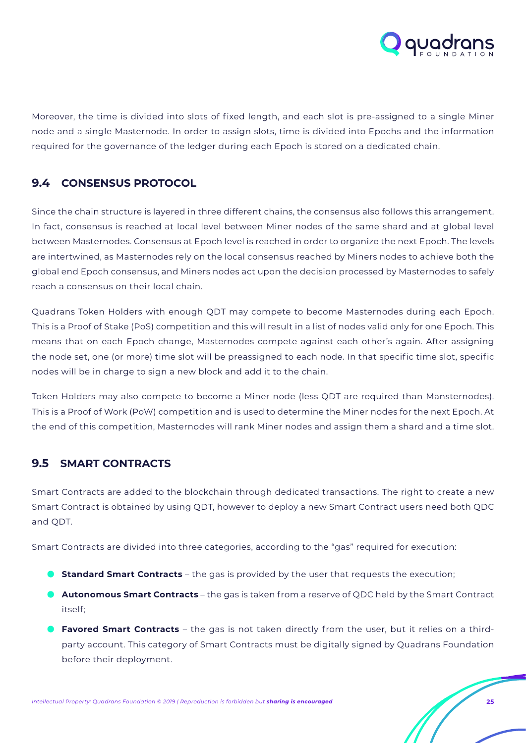

<span id="page-24-0"></span>Moreover, the time is divided into slots of fixed length, and each slot is pre-assigned to a single Miner node and a single Masternode. In order to assign slots, time is divided into Epochs and the information required for the governance of the ledger during each Epoch is stored on a dedicated chain.

## **9.4 CONSENSUS PROTOCOL**

Since the chain structure is layered in three different chains, the consensus also follows this arrangement. In fact, consensus is reached at local level between Miner nodes of the same shard and at global level between Masternodes. Consensus at Epoch level is reached in order to organize the next Epoch. The levels are intertwined, as Masternodes rely on the local consensus reached by Miners nodes to achieve both the global end Epoch consensus, and Miners nodes act upon the decision processed by Masternodes to safely reach a consensus on their local chain.

Quadrans Token Holders with enough QDT may compete to become Masternodes during each Epoch. This is a Proof of Stake (PoS) competition and this will result in a list of nodes valid only for one Epoch. This means that on each Epoch change, Masternodes compete against each other's again. After assigning the node set, one (or more) time slot will be preassigned to each node. In that specific time slot, specific nodes will be in charge to sign a new block and add it to the chain.

Token Holders may also compete to become a Miner node (less QDT are required than Mansternodes). This is a Proof of Work (PoW) competition and is used to determine the Miner nodes for the next Epoch. At the end of this competition, Masternodes will rank Miner nodes and assign them a shard and a time slot.

### **9.5 SMART CONTRACTS**

Smart Contracts are added to the blockchain through dedicated transactions. The right to create a new Smart Contract is obtained by using QDT, however to deploy a new Smart Contract users need both QDC and QDT.

Smart Contracts are divided into three categories, according to the "gas" required for execution:

- **C** Standard Smart Contracts the gas is provided by the user that requests the execution;
- **Autonomous Smart Contracts** the gas is taken from a reserve of QDC held by the Smart Contract itself;
- **Favored Smart Contracts** the gas is not taken directly from the user, but it relies on a thirdparty account. This category of Smart Contracts must be digitally signed by Quadrans Foundation before their deployment.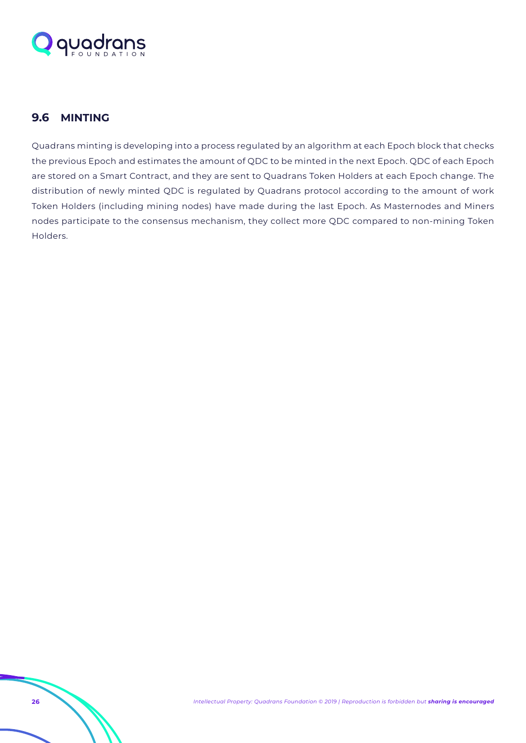<span id="page-25-0"></span>

## **9.6 MINTING**

Quadrans minting is developing into a process regulated by an algorithm at each Epoch block that checks the previous Epoch and estimates the amount of QDC to be minted in the next Epoch. QDC of each Epoch are stored on a Smart Contract, and they are sent to Quadrans Token Holders at each Epoch change. The distribution of newly minted QDC is regulated by Quadrans protocol according to the amount of work Token Holders (including mining nodes) have made during the last Epoch. As Masternodes and Miners nodes participate to the consensus mechanism, they collect more QDC compared to non-mining Token Holders.

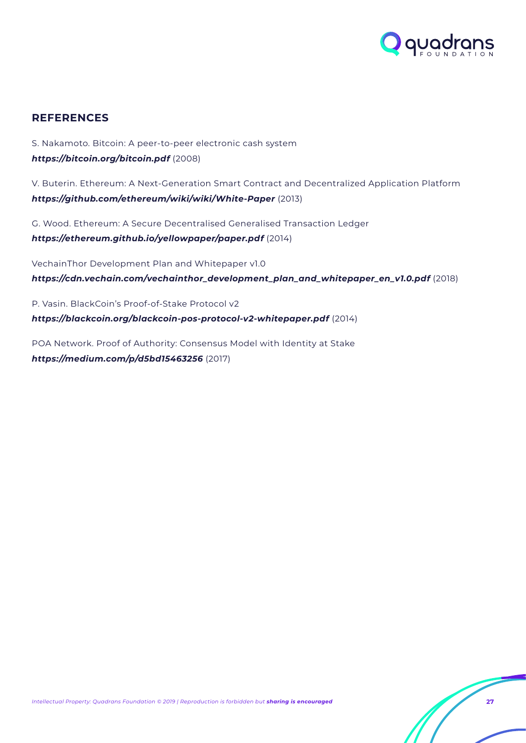

## <span id="page-26-0"></span>**REFERENCES**

S. Nakamoto. Bitcoin: A peer-to-peer electronic cash system *<https://bitcoin.org/bitcoin.pdf>* (2008)

V. Buterin. Ethereum: A Next-Generation Smart Contract and Decentralized Application Platform *<https://github.com/ethereum/wiki/wiki/White-Paper>* (2013)

G. Wood. Ethereum: A Secure Decentralised Generalised Transaction Ledger *<https://ethereum.github.io/yellowpaper/paper.pdf>* (2014)

VechainThor Development Plan and Whitepaper v1.0 *[https://cdn.vechain.com/vechainthor\\_development\\_plan\\_and\\_whitepaper\\_en\\_v1.0.pdf](https://cdn.vechain.com/vechainthor_development_plan_and_whitepaper_en_v1.0.pdf)* (2018)

P. Vasin. BlackCoin's Proof-of-Stake Protocol v2 *<https://blackcoin.org/blackcoin-pos-protocol-v2-whitepaper.pdf>* (2014)

POA Network. Proof of Authority: Consensus Model with Identity at Stake *<https://medium.com/p/d5bd15463256>* (2017)